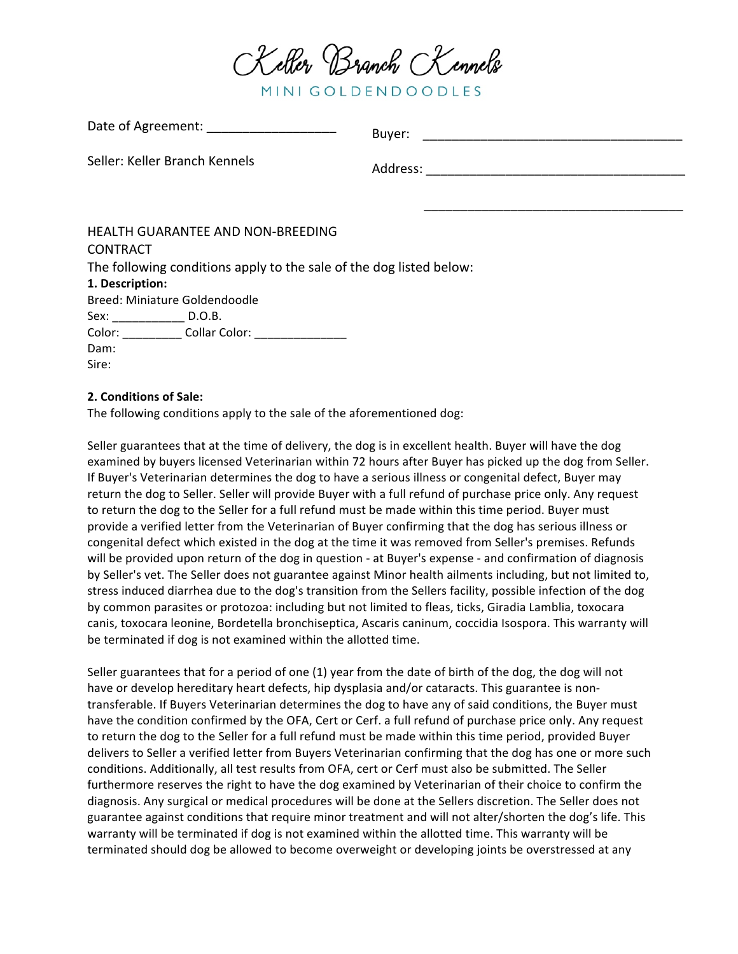

MINI GOLDENDOODLES

| Date of Agreement. ______________________                           | Buyer: |
|---------------------------------------------------------------------|--------|
| Seller: Keller Branch Kennels                                       |        |
|                                                                     |        |
|                                                                     |        |
| <b>HEALTH GUARANTEE AND NON-BREEDING</b>                            |        |
| <b>CONTRACT</b>                                                     |        |
| The following conditions apply to the sale of the dog listed below: |        |
| 1. Description:                                                     |        |
| Breed: Miniature Goldendoodle                                       |        |
| Sex: _______________________ D.O.B.                                 |        |
| Color: Collar Color: ______________                                 |        |
| Dam:                                                                |        |
| Sire:                                                               |        |

## **2. Conditions of Sale:**

 $Data of $A$ greement:$ 

The following conditions apply to the sale of the aforementioned dog:

Seller guarantees that at the time of delivery, the dog is in excellent health. Buyer will have the dog examined by buyers licensed Veterinarian within 72 hours after Buyer has picked up the dog from Seller. If Buyer's Veterinarian determines the dog to have a serious illness or congenital defect, Buyer may return the dog to Seller. Seller will provide Buyer with a full refund of purchase price only. Any request to return the dog to the Seller for a full refund must be made within this time period. Buyer must provide a verified letter from the Veterinarian of Buyer confirming that the dog has serious illness or congenital defect which existed in the dog at the time it was removed from Seller's premises. Refunds will be provided upon return of the dog in question - at Buyer's expense - and confirmation of diagnosis by Seller's vet. The Seller does not guarantee against Minor health ailments including, but not limited to, stress induced diarrhea due to the dog's transition from the Sellers facility, possible infection of the dog by common parasites or protozoa: including but not limited to fleas, ticks, Giradia Lamblia, toxocara canis, toxocara leonine, Bordetella bronchiseptica, Ascaris caninum, coccidia Isospora. This warranty will be terminated if dog is not examined within the allotted time.

Seller guarantees that for a period of one  $(1)$  year from the date of birth of the dog, the dog will not have or develop hereditary heart defects, hip dysplasia and/or cataracts. This guarantee is nontransferable. If Buyers Veterinarian determines the dog to have any of said conditions, the Buyer must have the condition confirmed by the OFA, Cert or Cerf. a full refund of purchase price only. Any request to return the dog to the Seller for a full refund must be made within this time period, provided Buyer delivers to Seller a verified letter from Buyers Veterinarian confirming that the dog has one or more such conditions. Additionally, all test results from OFA, cert or Cerf must also be submitted. The Seller furthermore reserves the right to have the dog examined by Veterinarian of their choice to confirm the diagnosis. Any surgical or medical procedures will be done at the Sellers discretion. The Seller does not guarantee against conditions that require minor treatment and will not alter/shorten the dog's life. This warranty will be terminated if dog is not examined within the allotted time. This warranty will be terminated should dog be allowed to become overweight or developing joints be overstressed at any